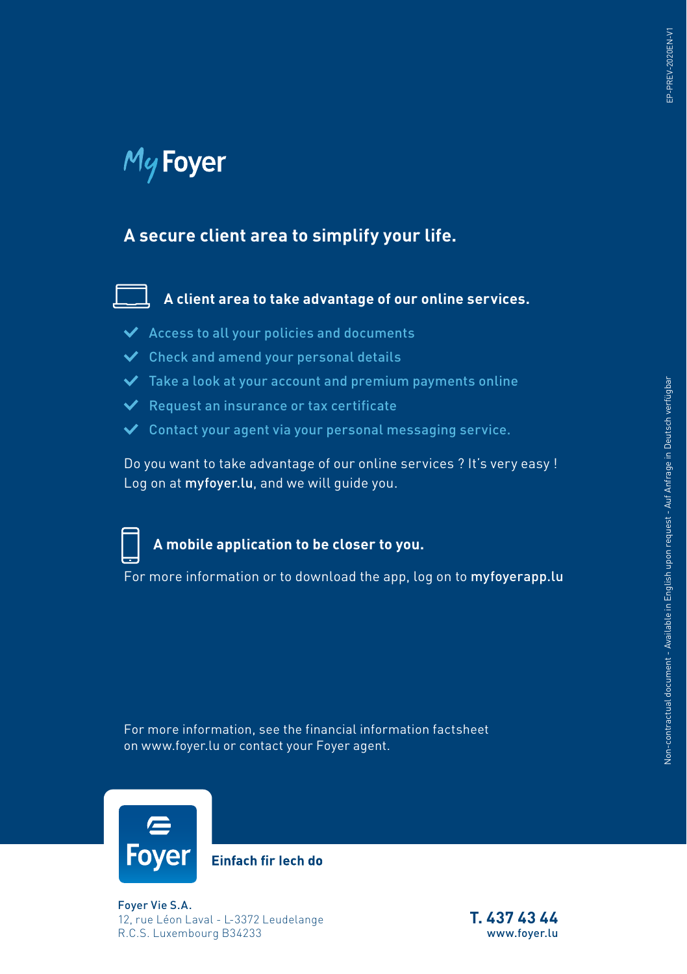

### **A secure client area to simplify your life.**



- $\vee$  Access to all your policies and documents
- $\blacktriangleright$  Check and amend your personal details
- $\blacktriangleright$  Take a look at your account and premium payments online
- $\vee$  Request an insurance or tax certificate
- $\checkmark$  Contact your agent via your personal messaging service.

Do you want to take advantage of our online services ? It's very easy ! Log on at myfoyer.lu, and we will guide you.

**A mobile application to be closer to you.**

For more information or to download the app, log on to myfoyerapp.lu

For more information, see the financial information factsheet on www.foyer.lu or contact your Foyer agent.



Einfach fir lech do

Foyer Vie S.A. 12, rue Léon Laval - L-3372 Leudelange R.C.S. Luxembourg B34233

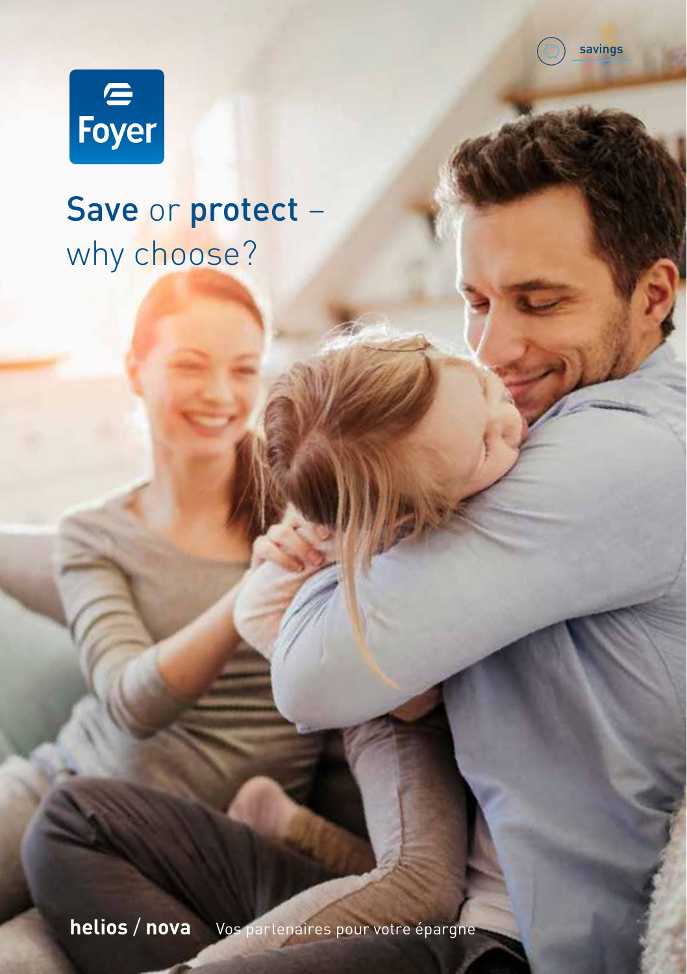

# Save or protect – why choose?

savings

**helios** / **nova** Vos partenaires pour votre épargne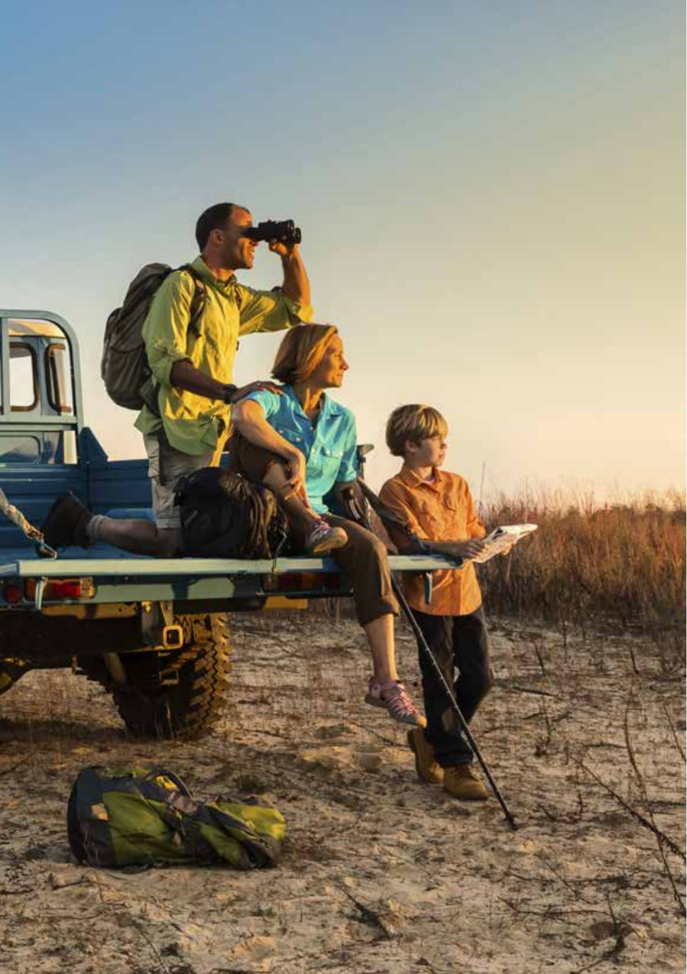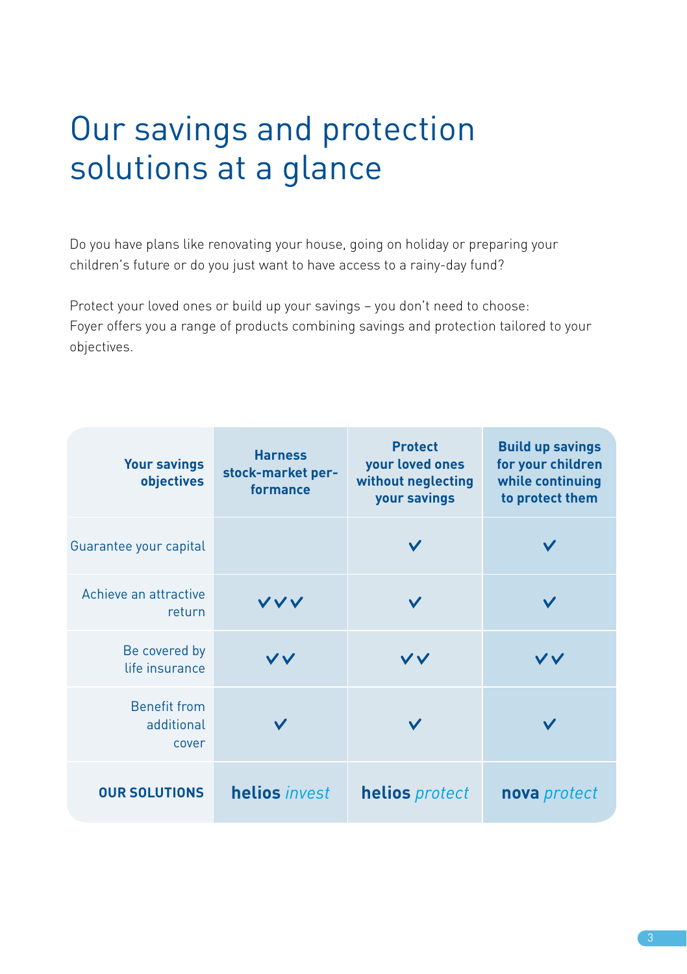## Our savings and protection solutions at a glance

Do you have plans like renovating your house, going on holiday or preparing your children's future or do you just want to have access to a rainy-day fund?

Protect your loved ones or build up your savings – you don't need to choose: Foyer offers you a range of products combining savings and protection tailored to your objectives.

| <b>Your savings</b><br>objectives          | <b>Harness</b><br>stock-market per-<br>formance | <b>Protect</b><br>your loved ones<br>without neglecting<br>your savings | <b>Build up savings</b><br>for your children<br>while continuing<br>to protect them |
|--------------------------------------------|-------------------------------------------------|-------------------------------------------------------------------------|-------------------------------------------------------------------------------------|
| Guarantee your capital                     |                                                 |                                                                         |                                                                                     |
| Achieve an attractive<br>return            | >>>                                             |                                                                         |                                                                                     |
| Be covered by<br>life insurance            | VV                                              | VV                                                                      | VV                                                                                  |
| <b>Benefit from</b><br>additional<br>cover |                                                 |                                                                         |                                                                                     |
| <b>OUR SOLUTIONS</b>                       | helios invest                                   | helios protect                                                          | nova protect                                                                        |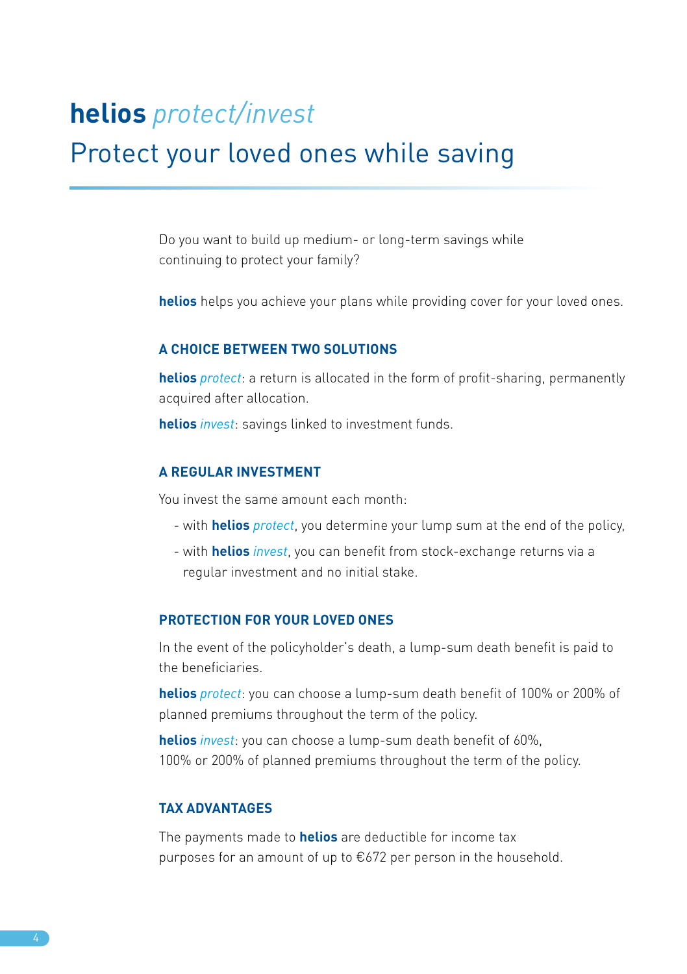## **helios** *protect/invest* Protect your loved ones while saving

Do you want to build up medium- or long-term savings while continuing to protect your family?

**helios** helps you achieve your plans while providing cover for your loved ones.

#### **A CHOICE BETWEEN TWO SOLUTIONS**

**helios** *protect*: a return is allocated in the form of profit-sharing, permanently acquired after allocation.

**helios** *invest*: savings linked to investment funds.

#### **A REGULAR INVESTMENT**

You invest the same amount each month:

- with **helios** *protect*, you determine your lump sum at the end of the policy,
- with **helios** *invest*, you can benefit from stock-exchange returns via a regular investment and no initial stake.

#### **PROTECTION FOR YOUR LOVED ONES**

In the event of the policyholder's death, a lump-sum death benefit is paid to the beneficiaries.

**helios** *protect*: you can choose a lump-sum death benefit of 100% or 200% of planned premiums throughout the term of the policy.

**helios** *invest*: you can choose a lump-sum death benefit of 60%, 100% or 200% of planned premiums throughout the term of the policy.

#### **TAX ADVANTAGES**

The payments made to **helios** are deductible for income tax purposes for an amount of up to €672 per person in the household.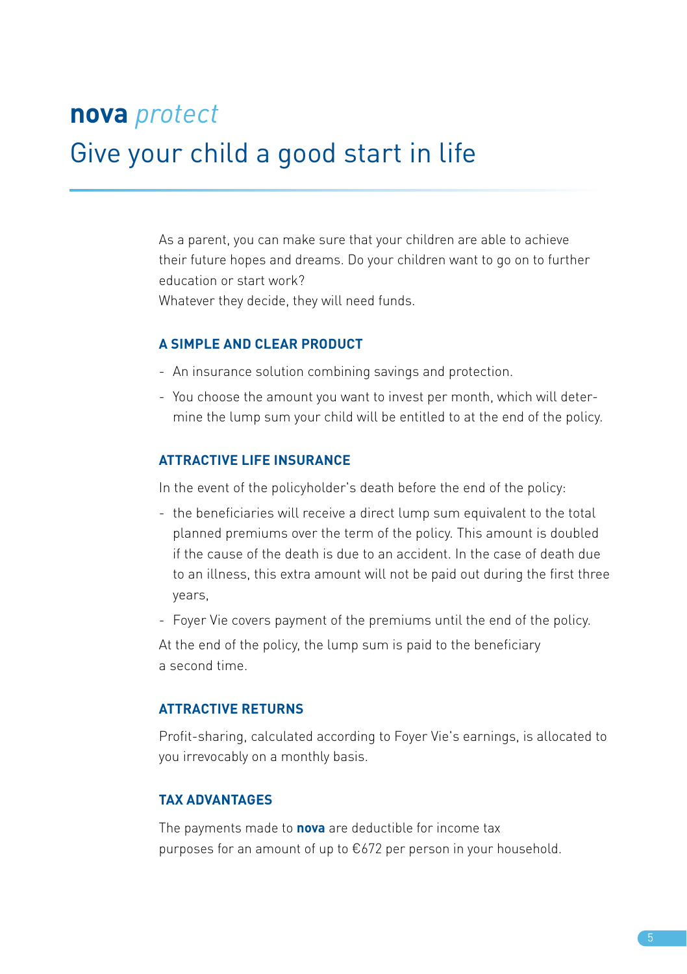### **nova** *protect* Give your child a good start in life

As a parent, you can make sure that your children are able to achieve their future hopes and dreams. Do your children want to go on to further education or start work?

Whatever they decide, they will need funds.

#### **A SIMPLE AND CLEAR PRODUCT**

- An insurance solution combining savings and protection.
- You choose the amount you want to invest per month, which will determine the lump sum your child will be entitled to at the end of the policy.

#### **ATTRACTIVE LIFE INSURANCE**

In the event of the policyholder's death before the end of the policy:

- the beneficiaries will receive a direct lump sum equivalent to the total planned premiums over the term of the policy. This amount is doubled if the cause of the death is due to an accident. In the case of death due to an illness, this extra amount will not be paid out during the first three years,
- Foyer Vie covers payment of the premiums until the end of the policy.

At the end of the policy, the lump sum is paid to the beneficiary a second time.

#### **ATTRACTIVE RETURNS**

Profit-sharing, calculated according to Foyer Vie's earnings, is allocated to you irrevocably on a monthly basis.

#### **TAX ADVANTAGES**

The payments made to **nova** are deductible for income tax purposes for an amount of up to €672 per person in your household.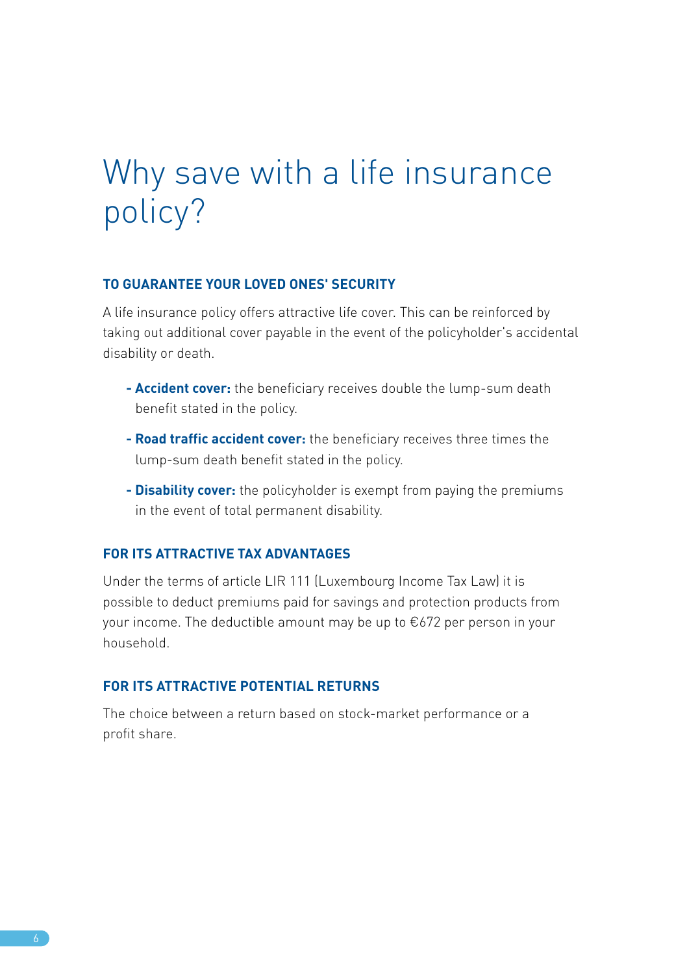## Why save with a life insurance policy?

#### **TO GUARANTEE YOUR LOVED ONES' SECURITY**

A life insurance policy offers attractive life cover. This can be reinforced by taking out additional cover payable in the event of the policyholder's accidental disability or death.

- **Accident cover:** the beneficiary receives double the lump-sum death benefit stated in the policy.
- **Road traffic accident cover:** the beneficiary receives three times the lump-sum death benefit stated in the policy.
- **Disability cover:** the policyholder is exempt from paying the premiums in the event of total permanent disability.

#### **FOR ITS ATTRACTIVE TAX ADVANTAGES**

Under the terms of article LIR 111 (Luxembourg Income Tax Law) it is possible to deduct premiums paid for savings and protection products from your income. The deductible amount may be up to €672 per person in your household.

#### **FOR ITS ATTRACTIVE POTENTIAL RETURNS**

The choice between a return based on stock-market performance or a profit share.